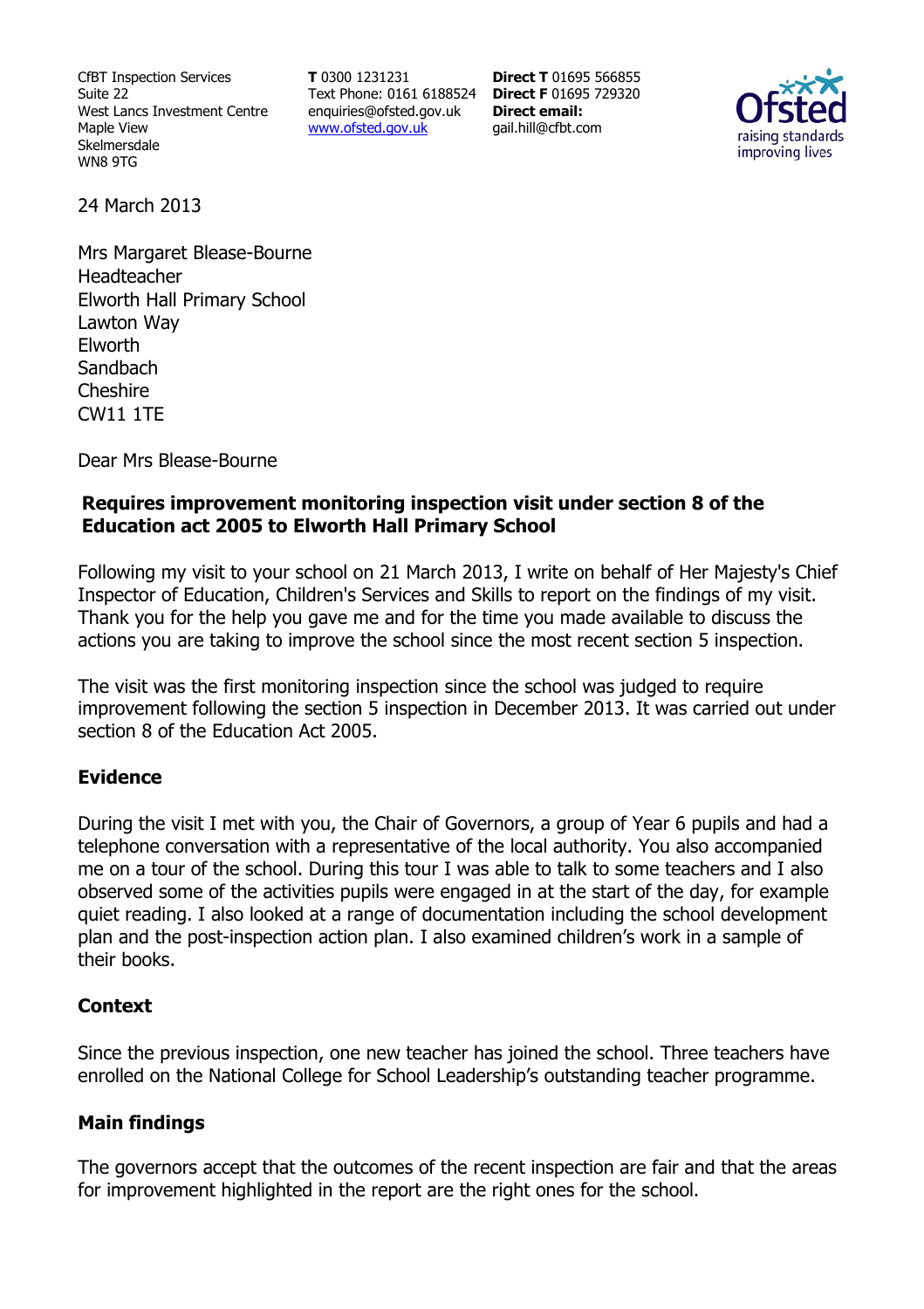CfBT Inspection Services Suite 22 West Lancs Investment Centre Maple View Skelmersdale WN8 9TG

**T** 0300 1231231 Text Phone: 0161 6188524 **Direct F** 01695 729320 enquiries@ofsted.gov.uk www.ofsted.gov.uk

**Direct T** 01695 566855 **Direct email:**  gail.hill@cfbt.com



24 March 2013

Mrs Margaret Blease-Bourne Headteacher Elworth Hall Primary School Lawton Way Elworth **Sandbach** Cheshire CW11 1TE

Dear Mrs Blease-Bourne

## **Requires improvement monitoring inspection visit under section 8 of the Education act 2005 to Elworth Hall Primary School**

Following my visit to your school on 21 March 2013, I write on behalf of Her Majesty's Chief Inspector of Education, Children's Services and Skills to report on the findings of my visit. Thank you for the help you gave me and for the time you made available to discuss the actions you are taking to improve the school since the most recent section 5 inspection.

The visit was the first monitoring inspection since the school was judged to require improvement following the section 5 inspection in December 2013. It was carried out under section 8 of the Education Act 2005.

### **Evidence**

During the visit I met with you, the Chair of Governors, a group of Year 6 pupils and had a telephone conversation with a representative of the local authority. You also accompanied me on a tour of the school. During this tour I was able to talk to some teachers and I also observed some of the activities pupils were engaged in at the start of the day, for example quiet reading. I also looked at a range of documentation including the school development plan and the post-inspection action plan. I also examined children's work in a sample of their books.

### **Context**

Since the previous inspection, one new teacher has joined the school. Three teachers have enrolled on the National College for School Leadership's outstanding teacher programme.

### **Main findings**

The governors accept that the outcomes of the recent inspection are fair and that the areas for improvement highlighted in the report are the right ones for the school.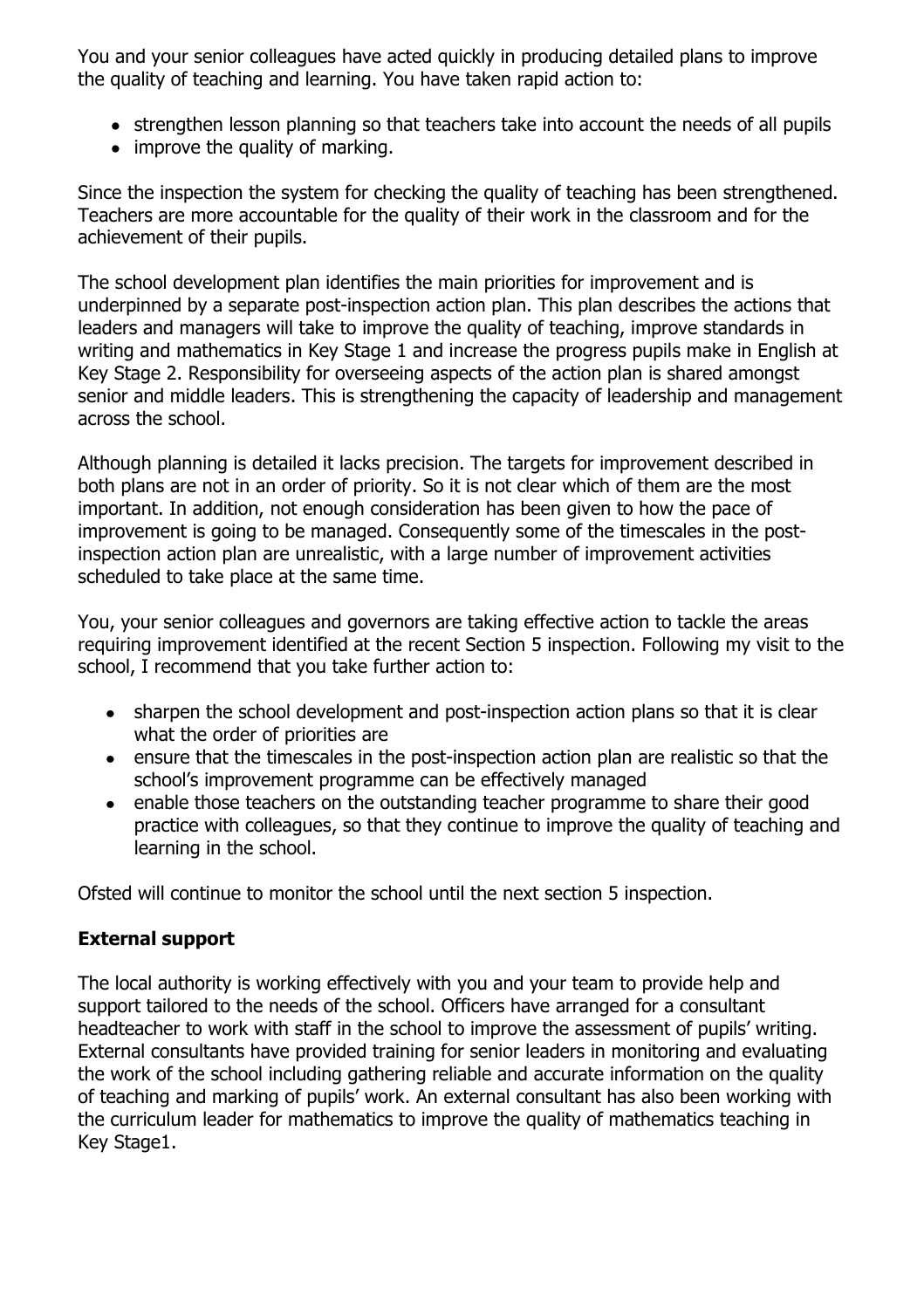You and your senior colleagues have acted quickly in producing detailed plans to improve the quality of teaching and learning. You have taken rapid action to:

- strengthen lesson planning so that teachers take into account the needs of all pupils
- improve the quality of marking.

Since the inspection the system for checking the quality of teaching has been strengthened. Teachers are more accountable for the quality of their work in the classroom and for the achievement of their pupils.

The school development plan identifies the main priorities for improvement and is underpinned by a separate post-inspection action plan. This plan describes the actions that leaders and managers will take to improve the quality of teaching, improve standards in writing and mathematics in Key Stage 1 and increase the progress pupils make in English at Key Stage 2. Responsibility for overseeing aspects of the action plan is shared amongst senior and middle leaders. This is strengthening the capacity of leadership and management across the school.

Although planning is detailed it lacks precision. The targets for improvement described in both plans are not in an order of priority. So it is not clear which of them are the most important. In addition, not enough consideration has been given to how the pace of improvement is going to be managed. Consequently some of the timescales in the postinspection action plan are unrealistic, with a large number of improvement activities scheduled to take place at the same time.

You, your senior colleagues and governors are taking effective action to tackle the areas requiring improvement identified at the recent Section 5 inspection. Following my visit to the school, I recommend that you take further action to:

- sharpen the school development and post-inspection action plans so that it is clear what the order of priorities are
- ensure that the timescales in the post-inspection action plan are realistic so that the school's improvement programme can be effectively managed
- enable those teachers on the outstanding teacher programme to share their good practice with colleagues, so that they continue to improve the quality of teaching and learning in the school.

Ofsted will continue to monitor the school until the next section 5 inspection.

# **External support**

The local authority is working effectively with you and your team to provide help and support tailored to the needs of the school. Officers have arranged for a consultant headteacher to work with staff in the school to improve the assessment of pupils' writing. External consultants have provided training for senior leaders in monitoring and evaluating the work of the school including gathering reliable and accurate information on the quality of teaching and marking of pupils' work. An external consultant has also been working with the curriculum leader for mathematics to improve the quality of mathematics teaching in Key Stage1.